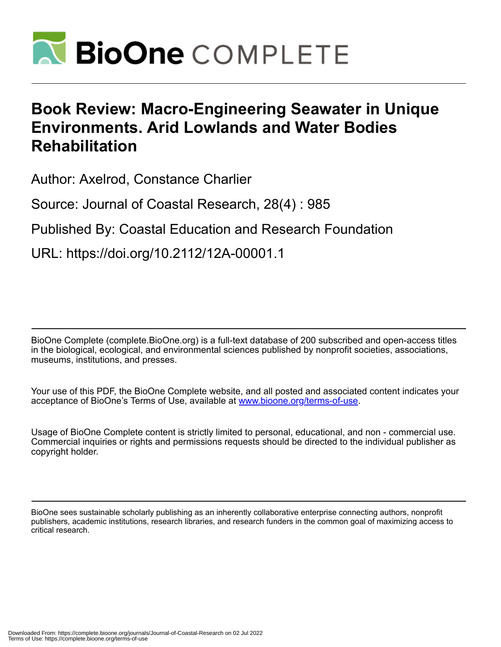

## **Book Review: Macro-Engineering Seawater in Unique Environments. Arid Lowlands and Water Bodies Rehabilitation**

Author: Axelrod, Constance Charlier

Source: Journal of Coastal Research, 28(4) : 985

Published By: Coastal Education and Research Foundation

URL: https://doi.org/10.2112/12A-00001.1

BioOne Complete (complete.BioOne.org) is a full-text database of 200 subscribed and open-access titles in the biological, ecological, and environmental sciences published by nonprofit societies, associations, museums, institutions, and presses.

Your use of this PDF, the BioOne Complete website, and all posted and associated content indicates your acceptance of BioOne's Terms of Use, available at www.bioone.org/terms-of-use.

Usage of BioOne Complete content is strictly limited to personal, educational, and non - commercial use. Commercial inquiries or rights and permissions requests should be directed to the individual publisher as copyright holder.

BioOne sees sustainable scholarly publishing as an inherently collaborative enterprise connecting authors, nonprofit publishers, academic institutions, research libraries, and research funders in the common goal of maximizing access to critical research.